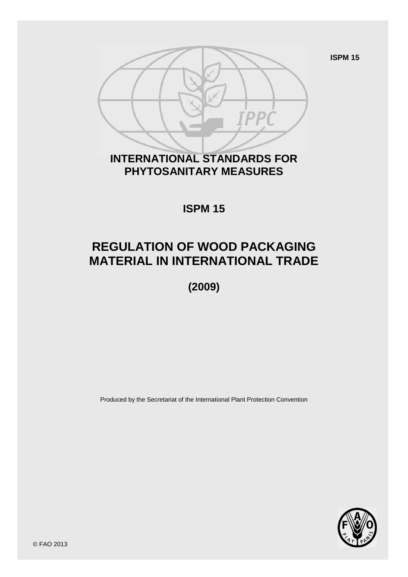**ISPM 15**



## **INTERNATIONAL STANDARDS FOR PHYTOSANITARY MEASURES**

**ISPM 15**

# **REGULATION OF WOOD PACKAGING MATERIAL IN INTERNATIONAL TRADE**

**(2009)**

Produced by the Secretariat of the International Plant Protection Convention



© FAO 2013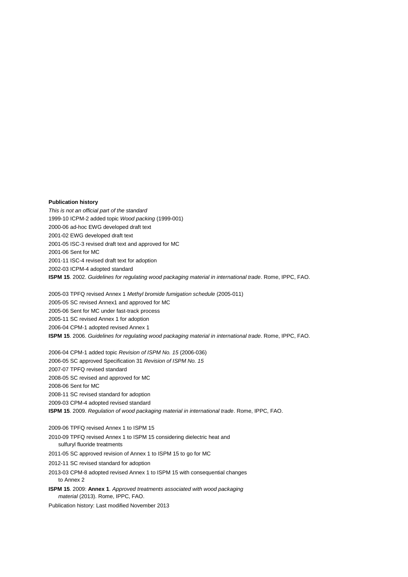#### **Publication history**

*This is not an official part of the standard* 1999-10 ICPM-2 added topic *Wood packing* (1999-001) 2000-06 ad-hoc EWG developed draft text 2001-02 EWG developed draft text 2001-05 ISC-3 revised draft text and approved for MC 2001-06 Sent for MC 2001-11 ISC-4 revised draft text for adoption 2002-03 ICPM-4 adopted standard **ISPM 15**. 2002. *Guidelines for regulating wood packaging material in international trade*. Rome, IPPC, FAO.

2005-03 TPFQ revised Annex 1 *Methyl bromide fumigation schedule* (2005-011) 2005-05 SC revised Annex1 and approved for MC 2005-06 Sent for MC under fast-track process 2005-11 SC revised Annex 1 for adoption 2006-04 CPM-1 adopted revised Annex 1 **ISPM 15**. 2006. *Guidelines for regulating wood packaging material in international trade*. Rome, IPPC, FAO.

2006-04 CPM-1 added topic *Revision of ISPM No. 15* (2006-036) 2006-05 SC approved Specification 31 *Revision of ISPM No. 15* 2007-07 TPFQ revised standard 2008-05 SC revised and approved for MC 2008-06 Sent for MC 2008-11 SC revised standard for adoption 2009-03 CPM-4 adopted revised standard **ISPM 15**. 2009. *Regulation of wood packaging material in international trade*. Rome, IPPC, FAO.

2009-06 TPFQ revised Annex 1 to ISPM 15 2010-09 TPFQ revised Annex 1 to ISPM 15 considering dielectric heat and

sulfuryl fluoride treatments

2011-05 SC approved revision of Annex 1 to ISPM 15 to go for MC

2012-11 SC revised standard for adoption

2013-03 CPM-8 adopted revised Annex 1 to ISPM 15 with consequential changes to Annex 2

**ISPM 15**. 2009: **Annex 1**. *Approved treatments associated with wood packaging material* (2013). Rome, IPPC, FAO.

Publication history: Last modified November 2013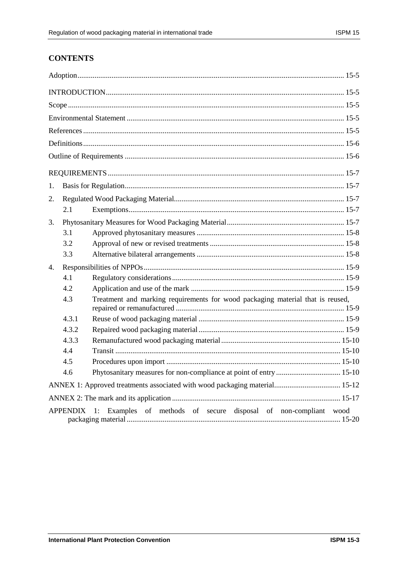## **CONTENTS**

| 1.                                                                       |                                                                                       |                                                                            |  |
|--------------------------------------------------------------------------|---------------------------------------------------------------------------------------|----------------------------------------------------------------------------|--|
| 2.                                                                       |                                                                                       |                                                                            |  |
|                                                                          | 2.1                                                                                   |                                                                            |  |
| 3.                                                                       |                                                                                       |                                                                            |  |
|                                                                          | 3.1                                                                                   |                                                                            |  |
|                                                                          | 3.2                                                                                   |                                                                            |  |
|                                                                          | 3.3                                                                                   |                                                                            |  |
| 4.                                                                       |                                                                                       |                                                                            |  |
|                                                                          | 4.1                                                                                   |                                                                            |  |
|                                                                          | 4.2                                                                                   |                                                                            |  |
|                                                                          | Treatment and marking requirements for wood packaging material that is reused,<br>4.3 |                                                                            |  |
|                                                                          | 4.3.1                                                                                 |                                                                            |  |
|                                                                          | 4.3.2                                                                                 |                                                                            |  |
| 4.3.3                                                                    |                                                                                       |                                                                            |  |
|                                                                          | 4.4                                                                                   |                                                                            |  |
|                                                                          | 4.5                                                                                   |                                                                            |  |
|                                                                          | 4.6                                                                                   |                                                                            |  |
|                                                                          |                                                                                       | ANNEX 1: Approved treatments associated with wood packaging material 15-12 |  |
|                                                                          |                                                                                       |                                                                            |  |
| APPENDIX 1: Examples of methods of secure disposal of non-compliant wood |                                                                                       |                                                                            |  |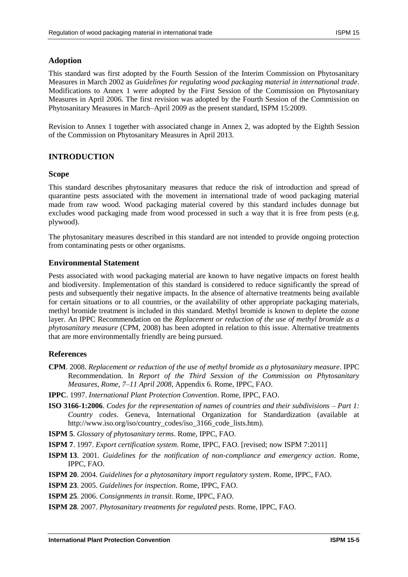## **Adoption**

This standard was first adopted by the Fourth Session of the Interim Commission on Phytosanitary Measures in March 2002 as *Guidelines for regulating wood packaging material in international trade*. Modifications to Annex 1 were adopted by the First Session of the Commission on Phytosanitary Measures in April 2006. The first revision was adopted by the Fourth Session of the Commission on Phytosanitary Measures in March–April 2009 as the present standard, ISPM 15:2009.

Revision to Annex 1 together with associated change in Annex 2, was adopted by the Eighth Session of the Commission on Phytosanitary Measures in April 2013.

## **INTRODUCTION**

#### **Scope**

This standard describes phytosanitary measures that reduce the risk of introduction and spread of quarantine pests associated with the movement in international trade of wood packaging material made from raw wood. Wood packaging material covered by this standard includes dunnage but excludes wood packaging made from wood processed in such a way that it is free from pests (e.g. plywood).

The phytosanitary measures described in this standard are not intended to provide ongoing protection from contaminating pests or other organisms.

#### **Environmental Statement**

Pests associated with wood packaging material are known to have negative impacts on forest health and biodiversity. Implementation of this standard is considered to reduce significantly the spread of pests and subsequently their negative impacts. In the absence of alternative treatments being available for certain situations or to all countries, or the availability of other appropriate packaging materials, methyl bromide treatment is included in this standard. Methyl bromide is known to deplete the ozone layer. An IPPC Recommendation on the *Replacement or reduction of the use of methyl bromide as a phytosanitary measure* (CPM, 2008) has been adopted in relation to this issue. Alternative treatments that are more environmentally friendly are being pursued.

## **References**

- **CPM**. 2008. *Replacement or reduction of the use of methyl bromide as a phytosanitary measure*. IPPC Recommendation. In *Report of the Third Session of the Commission on Phytosanitary Measures, Rome, 7–11 April 2008*, Appendix 6. Rome, IPPC, FAO.
- **IPPC**. 1997. *International Plant Protection Convention*. Rome, IPPC, FAO.
- **ISO 3166-1:2006**. *Codes for the representation of names of countries and their subdivisions – Part 1: Country codes*. Geneva, International Organization for Standardization (available at [http://www.iso.org/iso/country\\_codes/iso\\_3166\\_code\\_lists.htm\)](http://www.iso.org/iso/country_codes/iso_3166_code_lists.htm).

**ISPM 5**. *Glossary of phytosanitary terms*. Rome, IPPC, FAO.

**ISPM 7**. 1997. *Export certification system*. Rome, IPPC, FAO. [revised; now ISPM 7:2011]

**ISPM 13**. 2001. *Guidelines for the notification of non-compliance and emergency action*. Rome, IPPC, FAO.

**ISPM 20**. 2004. *Guidelines for a phytosanitary import regulatory system*. Rome, IPPC, FAO.

**ISPM 23**. 2005. *Guidelines for inspection*. Rome, IPPC, FAO.

**ISPM 25**. 2006. *Consignments in transit*. Rome, IPPC, FAO.

**ISPM 28**. 2007. *Phytosanitary treatments for regulated pests*. Rome, IPPC, FAO.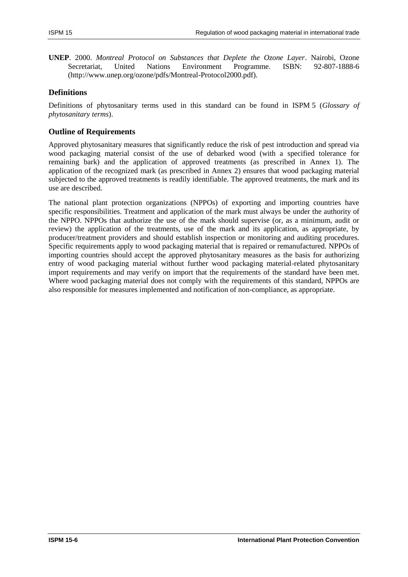**UNEP**. 2000. *Montreal Protocol on Substances that Deplete the Ozone Layer*. Nairobi, Ozone Secretariat, United Nations Environment Programme. ISBN: 92-807-1888-6 [\(http://www.unep.org/ozone/pdfs/Montreal-Protocol2000.pdf\)](http://www.unep.org/ozone/pdfs/Montreal-Protocol2000.pdf).

## **Definitions**

Definitions of phytosanitary terms used in this standard can be found in ISPM 5 (*Glossary of phytosanitary terms*).

## **Outline of Requirements**

Approved phytosanitary measures that significantly reduce the risk of pest introduction and spread via wood packaging material consist of the use of debarked wood (with a specified tolerance for remaining bark) and the application of approved treatments (as prescribed in Annex 1). The application of the recognized mark (as prescribed in Annex 2) ensures that wood packaging material subjected to the approved treatments is readily identifiable. The approved treatments, the mark and its use are described.

The national plant protection organizations (NPPOs) of exporting and importing countries have specific responsibilities. Treatment and application of the mark must always be under the authority of the NPPO. NPPOs that authorize the use of the mark should supervise (or, as a minimum, audit or review) the application of the treatments, use of the mark and its application, as appropriate, by producer/treatment providers and should establish inspection or monitoring and auditing procedures. Specific requirements apply to wood packaging material that is repaired or remanufactured. NPPOs of importing countries should accept the approved phytosanitary measures as the basis for authorizing entry of wood packaging material without further wood packaging material-related phytosanitary import requirements and may verify on import that the requirements of the standard have been met. Where wood packaging material does not comply with the requirements of this standard, NPPOs are also responsible for measures implemented and notification of non-compliance, as appropriate.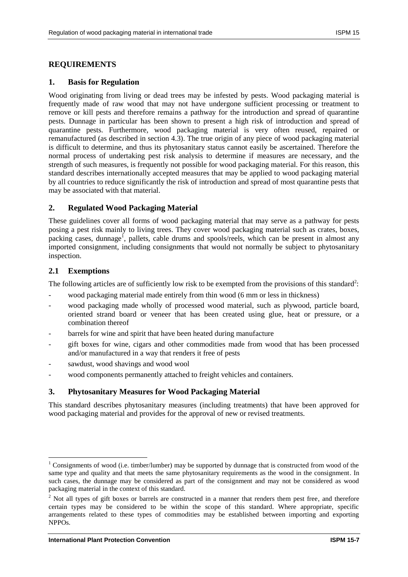## **REQUIREMENTS**

#### **1. Basis for Regulation**

Wood originating from living or dead trees may be infested by pests. Wood packaging material is frequently made of raw wood that may not have undergone sufficient processing or treatment to remove or kill pests and therefore remains a pathway for the introduction and spread of quarantine pests. Dunnage in particular has been shown to present a high risk of introduction and spread of quarantine pests. Furthermore, wood packaging material is very often reused, repaired or remanufactured (as described in section 4.3). The true origin of any piece of wood packaging material is difficult to determine, and thus its phytosanitary status cannot easily be ascertained. Therefore the normal process of undertaking pest risk analysis to determine if measures are necessary, and the strength of such measures, is frequently not possible for wood packaging material. For this reason, this standard describes internationally accepted measures that may be applied to wood packaging material by all countries to reduce significantly the risk of introduction and spread of most quarantine pests that may be associated with that material.

## **2. Regulated Wood Packaging Material**

These guidelines cover all forms of wood packaging material that may serve as a pathway for pests posing a pest risk mainly to living trees. They cover wood packaging material such as crates, boxes, packing cases, dunnage<sup>1</sup>, pallets, cable drums and spools/reels, which can be present in almost any imported consignment, including consignments that would not normally be subject to phytosanitary inspection.

#### **2.1 Exemptions**

 $\overline{\phantom{a}}$ 

The following articles are of sufficiently low risk to be exempted from the provisions of this standard<sup>2</sup>:

- wood packaging material made entirely from thin wood (6 mm or less in thickness)
- wood packaging made wholly of processed wood material, such as plywood, particle board, oriented strand board or veneer that has been created using glue, heat or pressure, or a combination thereof
- barrels for wine and spirit that have been heated during manufacture
- gift boxes for wine, cigars and other commodities made from wood that has been processed and/or manufactured in a way that renders it free of pests
- sawdust, wood shavings and wood wool
- wood components permanently attached to freight vehicles and containers.

## **3. Phytosanitary Measures for Wood Packaging Material**

This standard describes phytosanitary measures (including treatments) that have been approved for wood packaging material and provides for the approval of new or revised treatments.

<sup>&</sup>lt;sup>1</sup> Consignments of wood (i.e. timber/lumber) may be supported by dunnage that is constructed from wood of the same type and quality and that meets the same phytosanitary requirements as the wood in the consignment. In such cases, the dunnage may be considered as part of the consignment and may not be considered as wood packaging material in the context of this standard.

 $2$  Not all types of gift boxes or barrels are constructed in a manner that renders them pest free, and therefore certain types may be considered to be within the scope of this standard. Where appropriate, specific arrangements related to these types of commodities may be established between importing and exporting NPPOs.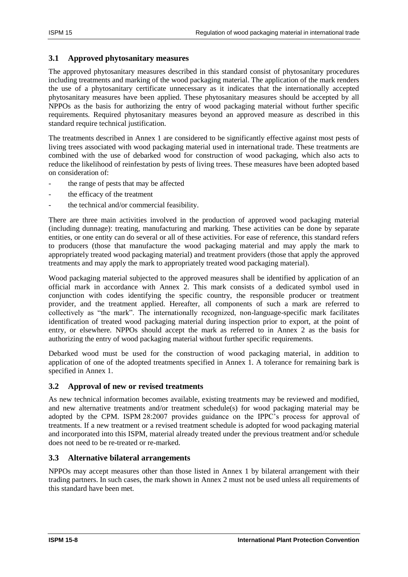## **3.1 Approved phytosanitary measures**

The approved phytosanitary measures described in this standard consist of phytosanitary procedures including treatments and marking of the wood packaging material. The application of the mark renders the use of a phytosanitary certificate unnecessary as it indicates that the internationally accepted phytosanitary measures have been applied. These phytosanitary measures should be accepted by all NPPOs as the basis for authorizing the entry of wood packaging material without further specific requirements. Required phytosanitary measures beyond an approved measure as described in this standard require technical justification.

The treatments described in Annex 1 are considered to be significantly effective against most pests of living trees associated with wood packaging material used in international trade. These treatments are combined with the use of debarked wood for construction of wood packaging, which also acts to reduce the likelihood of reinfestation by pests of living trees. These measures have been adopted based on consideration of:

- the range of pests that may be affected
- the efficacy of the treatment
- the technical and/or commercial feasibility.

There are three main activities involved in the production of approved wood packaging material (including dunnage): treating, manufacturing and marking. These activities can be done by separate entities, or one entity can do several or all of these activities. For ease of reference, this standard refers to producers (those that manufacture the wood packaging material and may apply the mark to appropriately treated wood packaging material) and treatment providers (those that apply the approved treatments and may apply the mark to appropriately treated wood packaging material).

Wood packaging material subjected to the approved measures shall be identified by application of an official mark in accordance with Annex 2. This mark consists of a dedicated symbol used in conjunction with codes identifying the specific country, the responsible producer or treatment provider, and the treatment applied. Hereafter, all components of such a mark are referred to collectively as "the mark". The internationally recognized, non-language-specific mark facilitates identification of treated wood packaging material during inspection prior to export, at the point of entry, or elsewhere. NPPOs should accept the mark as referred to in Annex 2 as the basis for authorizing the entry of wood packaging material without further specific requirements.

Debarked wood must be used for the construction of wood packaging material, in addition to application of one of the adopted treatments specified in Annex 1. A tolerance for remaining bark is specified in Annex 1.

## **3.2 Approval of new or revised treatments**

As new technical information becomes available, existing treatments may be reviewed and modified, and new alternative treatments and/or treatment schedule(s) for wood packaging material may be adopted by the CPM. ISPM 28:2007 provides guidance on the IPPC's process for approval of treatments. If a new treatment or a revised treatment schedule is adopted for wood packaging material and incorporated into this ISPM, material already treated under the previous treatment and/or schedule does not need to be re-treated or re-marked.

## **3.3 Alternative bilateral arrangements**

NPPOs may accept measures other than those listed in Annex 1 by bilateral arrangement with their trading partners. In such cases, the mark shown in Annex 2 must not be used unless all requirements of this standard have been met.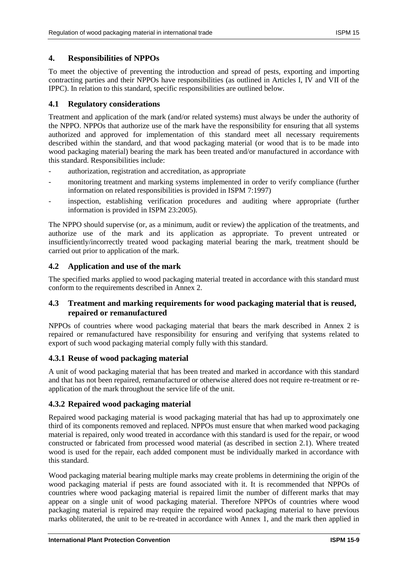#### **4. Responsibilities of NPPOs**

To meet the objective of preventing the introduction and spread of pests, exporting and importing contracting parties and their NPPOs have responsibilities (as outlined in Articles I, IV and VII of the IPPC). In relation to this standard, specific responsibilities are outlined below.

#### **4.1 Regulatory considerations**

Treatment and application of the mark (and/or related systems) must always be under the authority of the NPPO. NPPOs that authorize use of the mark have the responsibility for ensuring that all systems authorized and approved for implementation of this standard meet all necessary requirements described within the standard, and that wood packaging material (or wood that is to be made into wood packaging material) bearing the mark has been treated and/or manufactured in accordance with this standard. Responsibilities include:

- authorization, registration and accreditation, as appropriate
- monitoring treatment and marking systems implemented in order to verify compliance (further information on related responsibilities is provided in ISPM 7:1997)
- inspection, establishing verification procedures and auditing where appropriate (further information is provided in ISPM 23:2005).

The NPPO should supervise (or, as a minimum, audit or review) the application of the treatments, and authorize use of the mark and its application as appropriate. To prevent untreated or insufficiently/incorrectly treated wood packaging material bearing the mark, treatment should be carried out prior to application of the mark.

## **4.2 Application and use of the mark**

The specified marks applied to wood packaging material treated in accordance with this standard must conform to the requirements described in Annex 2.

## **4.3 Treatment and marking requirements for wood packaging material that is reused, repaired or remanufactured**

NPPOs of countries where wood packaging material that bears the mark described in Annex 2 is repaired or remanufactured have responsibility for ensuring and verifying that systems related to export of such wood packaging material comply fully with this standard.

## **4.3.1 Reuse of wood packaging material**

A unit of wood packaging material that has been treated and marked in accordance with this standard and that has not been repaired, remanufactured or otherwise altered does not require re-treatment or reapplication of the mark throughout the service life of the unit.

## **4.3.2 Repaired wood packaging material**

Repaired wood packaging material is wood packaging material that has had up to approximately one third of its components removed and replaced. NPPOs must ensure that when marked wood packaging material is repaired, only wood treated in accordance with this standard is used for the repair, or wood constructed or fabricated from processed wood material (as described in section 2.1). Where treated wood is used for the repair, each added component must be individually marked in accordance with this standard.

Wood packaging material bearing multiple marks may create problems in determining the origin of the wood packaging material if pests are found associated with it. It is recommended that NPPOs of countries where wood packaging material is repaired limit the number of different marks that may appear on a single unit of wood packaging material. Therefore NPPOs of countries where wood packaging material is repaired may require the repaired wood packaging material to have previous marks obliterated, the unit to be re-treated in accordance with Annex 1, and the mark then applied in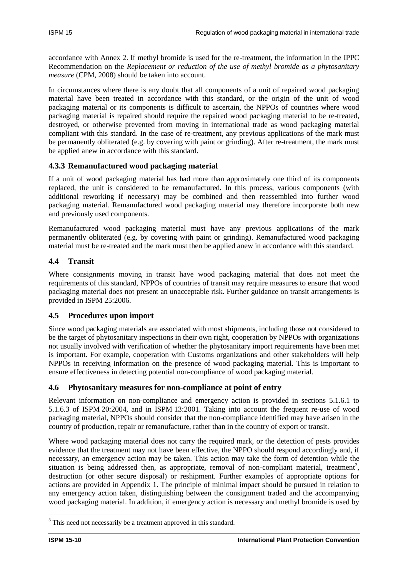accordance with Annex 2. If methyl bromide is used for the re-treatment, the information in the IPPC Recommendation on the *Replacement or reduction of the use of methyl bromide as a phytosanitary measure* (CPM, 2008) should be taken into account.

In circumstances where there is any doubt that all components of a unit of repaired wood packaging material have been treated in accordance with this standard, or the origin of the unit of wood packaging material or its components is difficult to ascertain, the NPPOs of countries where wood packaging material is repaired should require the repaired wood packaging material to be re-treated, destroyed, or otherwise prevented from moving in international trade as wood packaging material compliant with this standard. In the case of re-treatment, any previous applications of the mark must be permanently obliterated (e.g. by covering with paint or grinding). After re-treatment, the mark must be applied anew in accordance with this standard.

## **4.3.3 Remanufactured wood packaging material**

If a unit of wood packaging material has had more than approximately one third of its components replaced, the unit is considered to be remanufactured. In this process, various components (with additional reworking if necessary) may be combined and then reassembled into further wood packaging material. Remanufactured wood packaging material may therefore incorporate both new and previously used components.

Remanufactured wood packaging material must have any previous applications of the mark permanently obliterated (e.g. by covering with paint or grinding). Remanufactured wood packaging material must be re-treated and the mark must then be applied anew in accordance with this standard.

## **4.4 Transit**

Where consignments moving in transit have wood packaging material that does not meet the requirements of this standard, NPPOs of countries of transit may require measures to ensure that wood packaging material does not present an unacceptable risk. Further guidance on transit arrangements is provided in ISPM 25:2006.

## **4.5 Procedures upon import**

Since wood packaging materials are associated with most shipments, including those not considered to be the target of phytosanitary inspections in their own right, cooperation by NPPOs with organizations not usually involved with verification of whether the phytosanitary import requirements have been met is important. For example, cooperation with Customs organizations and other stakeholders will help NPPOs in receiving information on the presence of wood packaging material. This is important to ensure effectiveness in detecting potential non-compliance of wood packaging material.

## **4.6 Phytosanitary measures for non-compliance at point of entry**

Relevant information on non-compliance and emergency action is provided in sections 5.1.6.1 to 5.1.6.3 of ISPM 20:2004, and in ISPM 13:2001. Taking into account the frequent re-use of wood packaging material, NPPOs should consider that the non-compliance identified may have arisen in the country of production, repair or remanufacture, rather than in the country of export or transit.

Where wood packaging material does not carry the required mark, or the detection of pests provides evidence that the treatment may not have been effective, the NPPO should respond accordingly and, if necessary, an emergency action may be taken. This action may take the form of detention while the situation is being addressed then, as appropriate, removal of non-compliant material, treatment<sup>3</sup>, destruction (or other secure disposal) or reshipment. Further examples of appropriate options for actions are provided in Appendix 1. The principle of minimal impact should be pursued in relation to any emergency action taken, distinguishing between the consignment traded and the accompanying wood packaging material. In addition, if emergency action is necessary and methyl bromide is used by

 $\overline{a}$ 

<sup>&</sup>lt;sup>3</sup> This need not necessarily be a treatment approved in this standard.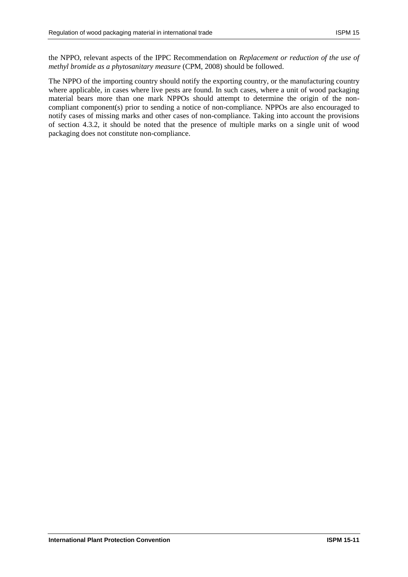the NPPO, relevant aspects of the IPPC Recommendation on *Replacement or reduction of the use of methyl bromide as a phytosanitary measure* (CPM, 2008) should be followed.

The NPPO of the importing country should notify the exporting country, or the manufacturing country where applicable, in cases where live pests are found. In such cases, where a unit of wood packaging material bears more than one mark NPPOs should attempt to determine the origin of the noncompliant component(s) prior to sending a notice of non-compliance. NPPOs are also encouraged to notify cases of missing marks and other cases of non-compliance. Taking into account the provisions of section 4.3.2, it should be noted that the presence of multiple marks on a single unit of wood packaging does not constitute non-compliance.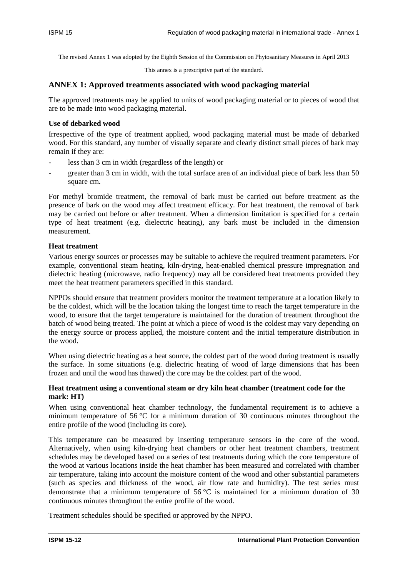The revised Annex 1 was adopted by the Eighth Session of the Commission on Phytosanitary Measures in April 2013

This annex is a prescriptive part of the standard.

#### **ANNEX 1: Approved treatments associated with wood packaging material**

The approved treatments may be applied to units of wood packaging material or to pieces of wood that are to be made into wood packaging material.

#### **Use of debarked wood**

Irrespective of the type of treatment applied, wood packaging material must be made of debarked wood. For this standard, any number of visually separate and clearly distinct small pieces of bark may remain if they are:

- less than 3 cm in width (regardless of the length) or
- greater than 3 cm in width, with the total surface area of an individual piece of bark less than 50 square cm.

For methyl bromide treatment, the removal of bark must be carried out before treatment as the presence of bark on the wood may affect treatment efficacy. For heat treatment, the removal of bark may be carried out before or after treatment. When a dimension limitation is specified for a certain type of heat treatment (e.g. dielectric heating), any bark must be included in the dimension measurement.

#### **Heat treatment**

Various energy sources or processes may be suitable to achieve the required treatment parameters. For example, conventional steam heating, kiln-drying, heat-enabled chemical pressure impregnation and dielectric heating (microwave, radio frequency) may all be considered heat treatments provided they meet the heat treatment parameters specified in this standard.

NPPOs should ensure that treatment providers monitor the treatment temperature at a location likely to be the coldest, which will be the location taking the longest time to reach the target temperature in the wood, to ensure that the target temperature is maintained for the duration of treatment throughout the batch of wood being treated. The point at which a piece of wood is the coldest may vary depending on the energy source or process applied, the moisture content and the initial temperature distribution in the wood.

When using dielectric heating as a heat source, the coldest part of the wood during treatment is usually the surface. In some situations (e.g. dielectric heating of wood of large dimensions that has been frozen and until the wood has thawed) the core may be the coldest part of the wood.

#### **Heat treatment using a conventional steam or dry kiln heat chamber (treatment code for the mark: HT)**

When using conventional heat chamber technology, the fundamental requirement is to achieve a minimum temperature of 56 °C for a minimum duration of 30 continuous minutes throughout the entire profile of the wood (including its core).

This temperature can be measured by inserting temperature sensors in the core of the wood. Alternatively, when using kiln-drying heat chambers or other heat treatment chambers, treatment schedules may be developed based on a series of test treatments during which the core temperature of the wood at various locations inside the heat chamber has been measured and correlated with chamber air temperature, taking into account the moisture content of the wood and other substantial parameters (such as species and thickness of the wood, air flow rate and humidity). The test series must demonstrate that a minimum temperature of  $56^{\circ}$ C is maintained for a minimum duration of 30 continuous minutes throughout the entire profile of the wood.

Treatment schedules should be specified or approved by the NPPO.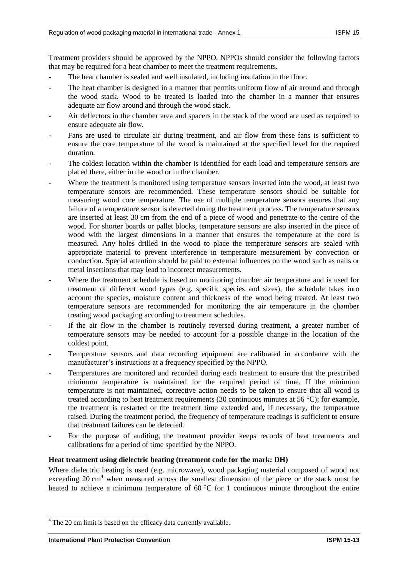Treatment providers should be approved by the NPPO. NPPOs should consider the following factors that may be required for a heat chamber to meet the treatment requirements.

- The heat chamber is sealed and well insulated, including insulation in the floor.
- The heat chamber is designed in a manner that permits uniform flow of air around and through the wood stack. Wood to be treated is loaded into the chamber in a manner that ensures adequate air flow around and through the wood stack.
- Air deflectors in the chamber area and spacers in the stack of the wood are used as required to ensure adequate air flow.
- Fans are used to circulate air during treatment, and air flow from these fans is sufficient to ensure the core temperature of the wood is maintained at the specified level for the required duration.
- The coldest location within the chamber is identified for each load and temperature sensors are placed there, either in the wood or in the chamber.
- Where the treatment is monitored using temperature sensors inserted into the wood, at least two temperature sensors are recommended. These temperature sensors should be suitable for measuring wood core temperature. The use of multiple temperature sensors ensures that any failure of a temperature sensor is detected during the treatment process. The temperature sensors are inserted at least 30 cm from the end of a piece of wood and penetrate to the centre of the wood. For shorter boards or pallet blocks, temperature sensors are also inserted in the piece of wood with the largest dimensions in a manner that ensures the temperature at the core is measured. Any holes drilled in the wood to place the temperature sensors are sealed with appropriate material to prevent interference in temperature measurement by convection or conduction. Special attention should be paid to external influences on the wood such as nails or metal insertions that may lead to incorrect measurements.
- Where the treatment schedule is based on monitoring chamber air temperature and is used for treatment of different wood types (e.g. specific species and sizes), the schedule takes into account the species, moisture content and thickness of the wood being treated. At least two temperature sensors are recommended for monitoring the air temperature in the chamber treating wood packaging according to treatment schedules.
- If the air flow in the chamber is routinely reversed during treatment, a greater number of temperature sensors may be needed to account for a possible change in the location of the coldest point.
- Temperature sensors and data recording equipment are calibrated in accordance with the manufacturer's instructions at a frequency specified by the NPPO.
- Temperatures are monitored and recorded during each treatment to ensure that the prescribed minimum temperature is maintained for the required period of time. If the minimum temperature is not maintained, corrective action needs to be taken to ensure that all wood is treated according to heat treatment requirements (30 continuous minutes at 56 °C); for example, the treatment is restarted or the treatment time extended and, if necessary, the temperature raised. During the treatment period, the frequency of temperature readings is sufficient to ensure that treatment failures can be detected.
- For the purpose of auditing, the treatment provider keeps records of heat treatments and calibrations for a period of time specified by the NPPO.

## **Heat treatment using dielectric heating (treatment code for the mark: DH)**

Where dielectric heating is used (e.g. microwave), wood packaging material composed of wood not exceeding 20 cm<sup>4</sup> when measured across the smallest dimension of the piece or the stack must be heated to achieve a minimum temperature of 60  $\degree$ C for 1 continuous minute throughout the entire

 $\overline{a}$ 

<sup>&</sup>lt;sup>4</sup> The 20 cm limit is based on the efficacy data currently available.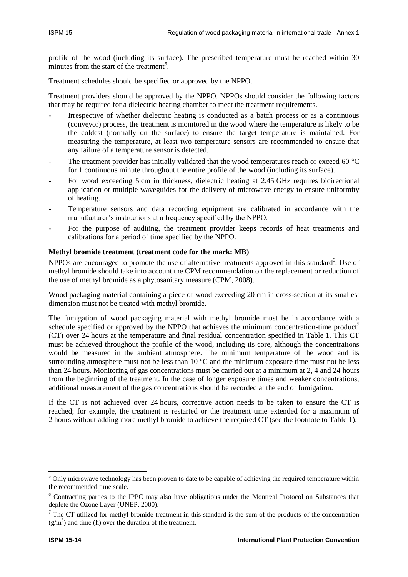profile of the wood (including its surface). The prescribed temperature must be reached within 30 minutes from the start of the treatment<sup>5</sup>.

Treatment schedules should be specified or approved by the NPPO.

Treatment providers should be approved by the NPPO. NPPOs should consider the following factors that may be required for a dielectric heating chamber to meet the treatment requirements.

- Irrespective of whether dielectric heating is conducted as a batch process or as a continuous (conveyor) process, the treatment is monitored in the wood where the temperature is likely to be the coldest (normally on the surface) to ensure the target temperature is maintained. For measuring the temperature, at least two temperature sensors are recommended to ensure that any failure of a temperature sensor is detected.
- The treatment provider has initially validated that the wood temperatures reach or exceed 60  $^{\circ}$ C for 1 continuous minute throughout the entire profile of the wood (including its surface).
- For wood exceeding 5 cm in thickness, dielectric heating at 2.45 GHz requires bidirectional application or multiple waveguides for the delivery of microwave energy to ensure uniformity of heating.
- Temperature sensors and data recording equipment are calibrated in accordance with the manufacturer's instructions at a frequency specified by the NPPO.
- For the purpose of auditing, the treatment provider keeps records of heat treatments and calibrations for a period of time specified by the NPPO.

#### **Methyl bromide treatment (treatment code for the mark: MB)**

NPPOs are encouraged to promote the use of alternative treatments approved in this standard<sup>6</sup>. Use of methyl bromide should take into account the CPM recommendation on the replacement or reduction of the use of methyl bromide as a phytosanitary measure (CPM, 2008).

Wood packaging material containing a piece of wood exceeding 20 cm in cross-section at its smallest dimension must not be treated with methyl bromide.

The fumigation of wood packaging material with methyl bromide must be in accordance with a schedule specified or approved by the NPPO that achieves the minimum concentration-time product<sup>7</sup> (CT) over 24 hours at the temperature and final residual concentration specified in Table 1. This CT must be achieved throughout the profile of the wood, including its core, although the concentrations would be measured in the ambient atmosphere. The minimum temperature of the wood and its surrounding atmosphere must not be less than  $10\degree C$  and the minimum exposure time must not be less than 24 hours. Monitoring of gas concentrations must be carried out at a minimum at 2, 4 and 24 hours from the beginning of the treatment. In the case of longer exposure times and weaker concentrations, additional measurement of the gas concentrations should be recorded at the end of fumigation.

If the CT is not achieved over 24 hours, corrective action needs to be taken to ensure the CT is reached; for example, the treatment is restarted or the treatment time extended for a maximum of 2 hours without adding more methyl bromide to achieve the required CT (see the footnote to Table 1).

l

<sup>&</sup>lt;sup>5</sup> Only microwave technology has been proven to date to be capable of achieving the required temperature within the recommended time scale.

<sup>6</sup> Contracting parties to the IPPC may also have obligations under the Montreal Protocol on Substances that deplete the Ozone Layer (UNEP, 2000).

 $<sup>7</sup>$  The CT utilized for methyl bromide treatment in this standard is the sum of the products of the concentration</sup>  $(g/m<sup>3</sup>)$  and time (h) over the duration of the treatment.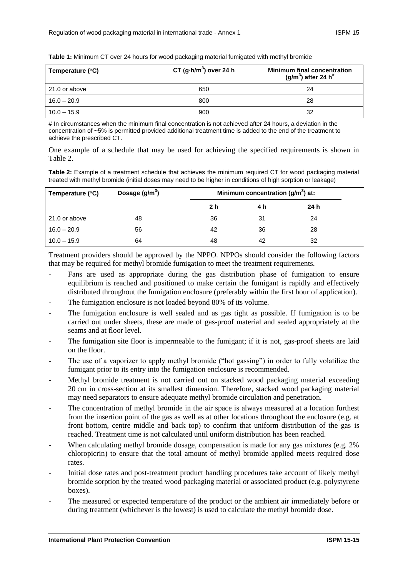|  |  |  |  |  | <b>Table 1:</b> Minimum CT over 24 hours for wood packaging material fumigated with methyl bromide |
|--|--|--|--|--|----------------------------------------------------------------------------------------------------|
|--|--|--|--|--|----------------------------------------------------------------------------------------------------|

| Temperature (°C) | CT $(g\cdot h/m^3)$ over 24 h | <b>Minimum final concentration</b><br>(g/m <sup>3</sup> ) after 24 h <sup>#</sup> |
|------------------|-------------------------------|-----------------------------------------------------------------------------------|
| 21.0 or above    | 650                           | 24                                                                                |
| $16.0 - 20.9$    | 800                           | 28                                                                                |
| $10.0 - 15.9$    | 900                           | 32                                                                                |

# In circumstances when the minimum final concentration is not achieved after 24 hours, a deviation in the concentration of ~5% is permitted provided additional treatment time is added to the end of the treatment to achieve the prescribed CT.

One example of a schedule that may be used for achieving the specified requirements is shown in Table 2.

**Table 2:** Example of a treatment schedule that achieves the minimum required CT for wood packaging material treated with methyl bromide (initial doses may need to be higher in conditions of high sorption or leakage)

| Temperature (°C) | Dosage $(g/m^3)$ |     | Minimum concentration ( $g/m3$ ) at: |      |  |
|------------------|------------------|-----|--------------------------------------|------|--|
|                  |                  | 2 h | 4 h                                  | 24 h |  |
| 21.0 or above    | 48               | 36  | 31                                   | 24   |  |
| $16.0 - 20.9$    | 56               | 42  | 36                                   | 28   |  |
| $10.0 - 15.9$    | 64               | 48  | 42                                   | 32   |  |

Treatment providers should be approved by the NPPO. NPPOs should consider the following factors that may be required for methyl bromide fumigation to meet the treatment requirements.

- Fans are used as appropriate during the gas distribution phase of fumigation to ensure equilibrium is reached and positioned to make certain the fumigant is rapidly and effectively distributed throughout the fumigation enclosure (preferably within the first hour of application).
- The fumigation enclosure is not loaded beyond 80% of its volume.
- The fumigation enclosure is well sealed and as gas tight as possible. If fumigation is to be carried out under sheets, these are made of gas-proof material and sealed appropriately at the seams and at floor level.
- The fumigation site floor is impermeable to the fumigant; if it is not, gas-proof sheets are laid on the floor.
- The use of a vaporizer to apply methyl bromide ("hot gassing") in order to fully volatilize the fumigant prior to its entry into the fumigation enclosure is recommended.
- Methyl bromide treatment is not carried out on stacked wood packaging material exceeding 20 cm in cross-section at its smallest dimension. Therefore, stacked wood packaging material may need separators to ensure adequate methyl bromide circulation and penetration.
- The concentration of methyl bromide in the air space is always measured at a location furthest from the insertion point of the gas as well as at other locations throughout the enclosure (e.g. at front bottom, centre middle and back top) to confirm that uniform distribution of the gas is reached. Treatment time is not calculated until uniform distribution has been reached.
- When calculating methyl bromide dosage, compensation is made for any gas mixtures (e.g. 2%) chloropicrin) to ensure that the total amount of methyl bromide applied meets required dose rates.
- Initial dose rates and post-treatment product handling procedures take account of likely methyl bromide sorption by the treated wood packaging material or associated product (e.g. polystyrene boxes).
- The measured or expected temperature of the product or the ambient air immediately before or during treatment (whichever is the lowest) is used to calculate the methyl bromide dose.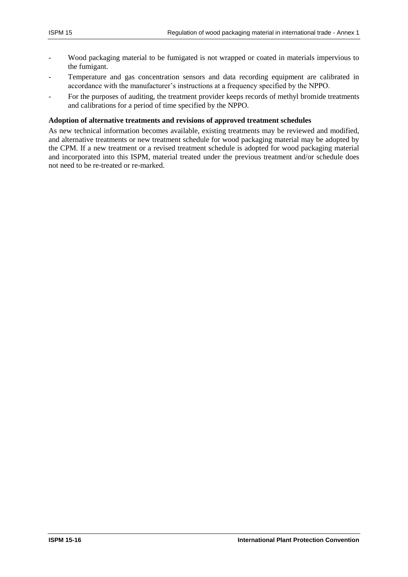- Wood packaging material to be fumigated is not wrapped or coated in materials impervious to the fumigant.
- Temperature and gas concentration sensors and data recording equipment are calibrated in accordance with the manufacturer's instructions at a frequency specified by the NPPO.
- For the purposes of auditing, the treatment provider keeps records of methyl bromide treatments and calibrations for a period of time specified by the NPPO.

#### **Adoption of alternative treatments and revisions of approved treatment schedules**

As new technical information becomes available, existing treatments may be reviewed and modified, and alternative treatments or new treatment schedule for wood packaging material may be adopted by the CPM. If a new treatment or a revised treatment schedule is adopted for wood packaging material and incorporated into this ISPM, material treated under the previous treatment and/or schedule does not need to be re-treated or re-marked.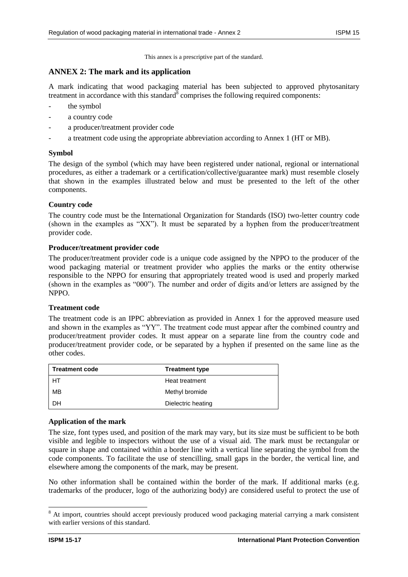This annex is a prescriptive part of the standard.

#### **ANNEX 2: The mark and its application**

A mark indicating that wood packaging material has been subjected to approved phytosanitary treatment in accordance with this standard comprises the following required components:

- the symbol
- a country code
- a producer/treatment provider code
- a treatment code using the appropriate abbreviation according to Annex 1 (HT or MB).

#### **Symbol**

The design of the symbol (which may have been registered under national, regional or international procedures, as either a trademark or a certification/collective/guarantee mark) must resemble closely that shown in the examples illustrated below and must be presented to the left of the other components.

#### **Country code**

The country code must be the International Organization for Standards (ISO) two-letter country code (shown in the examples as "XX"). It must be separated by a hyphen from the producer/treatment provider code.

#### **Producer/treatment provider code**

The producer/treatment provider code is a unique code assigned by the NPPO to the producer of the wood packaging material or treatment provider who applies the marks or the entity otherwise responsible to the NPPO for ensuring that appropriately treated wood is used and properly marked (shown in the examples as "000"). The number and order of digits and/or letters are assigned by the NPPO.

#### **Treatment code**

The treatment code is an IPPC abbreviation as provided in Annex 1 for the approved measure used and shown in the examples as "YY". The treatment code must appear after the combined country and producer/treatment provider codes. It must appear on a separate line from the country code and producer/treatment provider code, or be separated by a hyphen if presented on the same line as the other codes.

| <b>Treatment code</b> | <b>Treatment type</b> |
|-----------------------|-----------------------|
| HT                    | Heat treatment        |
| MB                    | Methyl bromide        |
| DH                    | Dielectric heating    |

#### **Application of the mark**

The size, font types used, and position of the mark may vary, but its size must be sufficient to be both visible and legible to inspectors without the use of a visual aid. The mark must be rectangular or square in shape and contained within a border line with a vertical line separating the symbol from the code components. To facilitate the use of stencilling, small gaps in the border, the vertical line, and elsewhere among the components of the mark, may be present.

No other information shall be contained within the border of the mark. If additional marks (e.g. trademarks of the producer, logo of the authorizing body) are considered useful to protect the use of

 $\overline{\phantom{a}}$ 

<sup>&</sup>lt;sup>8</sup> At import, countries should accept previously produced wood packaging material carrying a mark consistent with earlier versions of this standard.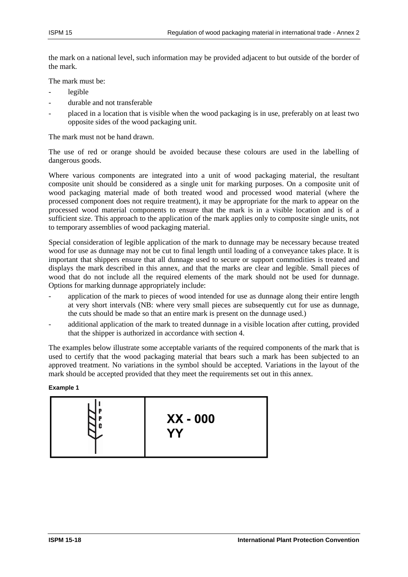the mark on a national level, such information may be provided adjacent to but outside of the border of the mark.

The mark must be:

- legible
- durable and not transferable
- placed in a location that is visible when the wood packaging is in use, preferably on at least two opposite sides of the wood packaging unit.

The mark must not be hand drawn.

The use of red or orange should be avoided because these colours are used in the labelling of dangerous goods.

Where various components are integrated into a unit of wood packaging material, the resultant composite unit should be considered as a single unit for marking purposes. On a composite unit of wood packaging material made of both treated wood and processed wood material (where the processed component does not require treatment), it may be appropriate for the mark to appear on the processed wood material components to ensure that the mark is in a visible location and is of a sufficient size. This approach to the application of the mark applies only to composite single units, not to temporary assemblies of wood packaging material.

Special consideration of legible application of the mark to dunnage may be necessary because treated wood for use as dunnage may not be cut to final length until loading of a conveyance takes place. It is important that shippers ensure that all dunnage used to secure or support commodities is treated and displays the mark described in this annex, and that the marks are clear and legible. Small pieces of wood that do not include all the required elements of the mark should not be used for dunnage. Options for marking dunnage appropriately include:

- application of the mark to pieces of wood intended for use as dunnage along their entire length at very short intervals (NB: where very small pieces are subsequently cut for use as dunnage, the cuts should be made so that an entire mark is present on the dunnage used.)
- additional application of the mark to treated dunnage in a visible location after cutting, provided that the shipper is authorized in accordance with section 4.

The examples below illustrate some acceptable variants of the required components of the mark that is used to certify that the wood packaging material that bears such a mark has been subjected to an approved treatment. No variations in the symbol should be accepted. Variations in the layout of the mark should be accepted provided that they meet the requirements set out in this annex.

#### **Example 1**

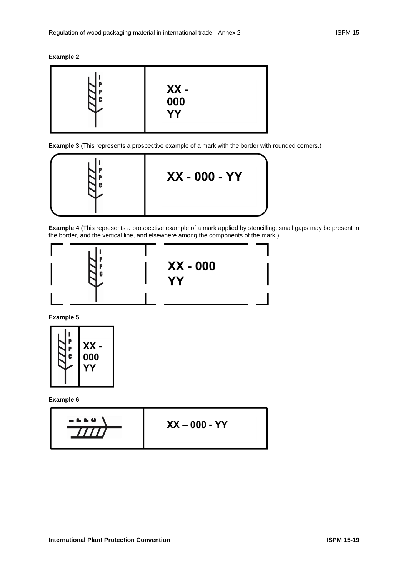#### **Example 2**



**Example 3** (This represents a prospective example of a mark with the border with rounded corners.)



**Example 4** (This represents a prospective example of a mark applied by stencilling; small gaps may be present in the border, and the vertical line, and elsewhere among the components of the mark.)



**Example 5**



**Example 6**

$$
XX - 000 - YY
$$